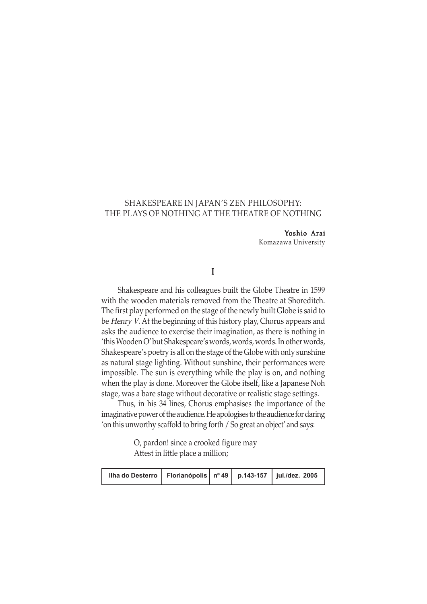# SHAKESPEARE IN JAPAN'S ZEN PHILOSOPHY: THE PLAYS OF NOTHING AT THE THEATRE OF NOTHING

## Yoshio Arai

Komazawa University

# I

Shakespeare and his colleagues built the Globe Theatre in 1599 with the wooden materials removed from the Theatre at Shoreditch. The first play performed on the stage of the newly built Globe is said to be Henry V. At the beginning of this history play, Chorus appears and asks the audience to exercise their imagination, as there is nothing in 'this Wooden O' but Shakespeare's words, words, words. In other words, Shakespeare's poetry is all on the stage of the Globe with only sunshine as natural stage lighting. Without sunshine, their performances were impossible. The sun is everything while the play is on, and nothing when the play is done. Moreover the Globe itself, like a Japanese Noh stage, was a bare stage without decorative or realistic stage settings.

Thus, in his 34 lines, Chorus emphasises the importance of the imaginative power of the audience. He apologises to the audience for daring 'on this unworthy scaffold to bring forth / So great an object' and says:

> O, pardon! since a crooked figure may Attest in little place a million;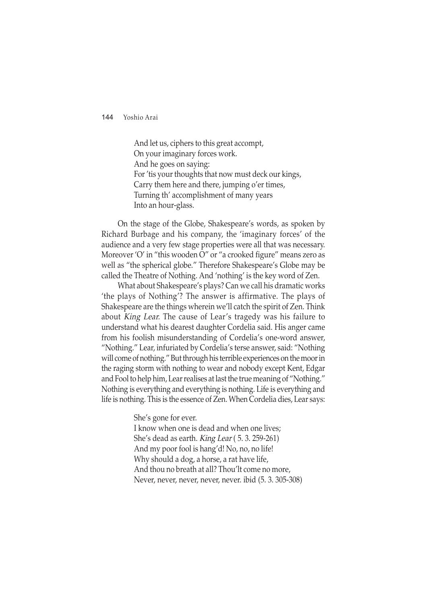And let us, ciphers to this great accompt, On your imaginary forces work. And he goes on saying: For 'tis your thoughts that now must deck our kings, Carry them here and there, jumping o'er times, Turning th' accomplishment of many years Into an hour-glass.

On the stage of the Globe, Shakespeare's words, as spoken by Richard Burbage and his company, the 'imaginary forces' of the audience and a very few stage properties were all that was necessary. Moreover 'O' in "this wooden O" or "a crooked figure" means zero as well as "the spherical globe." Therefore Shakespeare's Globe may be called the Theatre of Nothing. And 'nothing' is the key word of Zen.

What about Shakespeare's plays? Can we call his dramatic works 'the plays of Nothing'? The answer is affirmative. The plays of Shakespeare are the things wherein we'll catch the spirit of Zen. Think about King Lear. The cause of Lear's tragedy was his failure to understand what his dearest daughter Cordelia said. His anger came from his foolish misunderstanding of Cordelia's one-word answer, "Nothing." Lear, infuriated by Cordelia's terse answer, said: "Nothing will come of nothing." But through his terrible experiences on the moor in the raging storm with nothing to wear and nobody except Kent, Edgar and Fool to help him, Lear realises at last the true meaning of "Nothing." Nothing is everything and everything is nothing. Life is everything and life is nothing. This is the essence of Zen. When Cordelia dies, Lear says:

She's gone for ever.

I know when one is dead and when one lives; She's dead as earth. King Lear ( 5. 3. 259-261) And my poor fool is hang'd! No, no, no life! Why should a dog, a horse, a rat have life, And thou no breath at all? Thou'lt come no more, Never, never, never, never, never. ibid (5. 3. 305-308)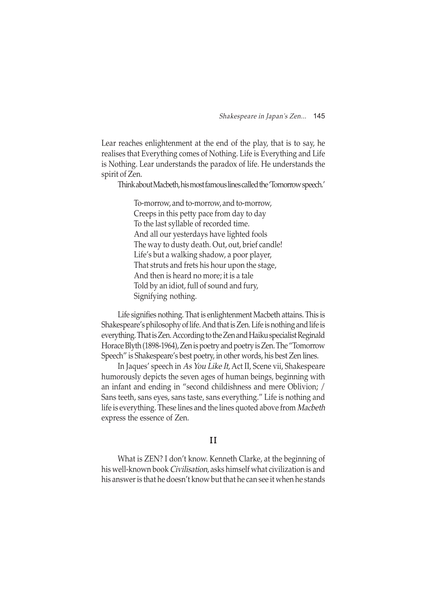Lear reaches enlightenment at the end of the play, that is to say, he realises that Everything comes of Nothing. Life is Everything and Life is Nothing. Lear understands the paradox of life. He understands the spirit of Zen.

Think about Macbeth, his most famous lines called the 'Tomorrow speech.'

To-morrow, and to-morrow, and to-morrow, Creeps in this petty pace from day to day To the last syllable of recorded time. And all our yesterdays have lighted fools The way to dusty death. Out, out, brief candle! Life's but a walking shadow, a poor player, That struts and frets his hour upon the stage, And then is heard no more; it is a tale Told by an idiot, full of sound and fury, Signifying nothing.

Life signifies nothing. That is enlightenment Macbeth attains. This is Shakespeare's philosophy of life. And that is Zen. Life is nothing and life is everything. That is Zen. According to the Zen and Haiku specialist Reginald Horace Blyth (1898-1964), Zen is poetry and poetry is Zen. The "Tomorrow Speech" is Shakespeare's best poetry, in other words, his best Zen lines.

In Jaques' speech in As You Like It, Act II, Scene vii, Shakespeare humorously depicts the seven ages of human beings, beginning with an infant and ending in "second childishness and mere Oblivion; / Sans teeth, sans eyes, sans taste, sans everything." Life is nothing and life is everything. These lines and the lines quoted above from Macbeth express the essence of Zen.

# I I

What is ZEN? I don't know. Kenneth Clarke, at the beginning of his well-known book Civilisation, asks himself what civilization is and his answer is that he doesn't know but that he can see it when he stands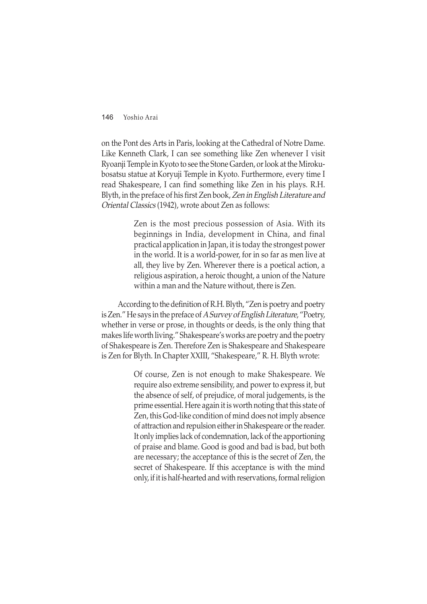on the Pont des Arts in Paris, looking at the Cathedral of Notre Dame. Like Kenneth Clark, I can see something like Zen whenever I visit Ryoanji Temple in Kyoto to see the Stone Garden, or look at the Mirokubosatsu statue at Koryuji Temple in Kyoto. Furthermore, every time I read Shakespeare, I can find something like Zen in his plays. R.H. Blyth, in the preface of his first Zen book, Zen in English Literature and Oriental Classics (1942), wrote about Zen as follows:

> Zen is the most precious possession of Asia. With its beginnings in India, development in China, and final practical application in Japan, it is today the strongest power in the world. It is a world-power, for in so far as men live at all, they live by Zen. Wherever there is a poetical action, a religious aspiration, a heroic thought, a union of the Nature within a man and the Nature without, there is Zen.

According to the definition of R.H. Blyth, "Zen is poetry and poetry is Zen." He says in the preface of A Survey of English Literature, "Poetry, whether in verse or prose, in thoughts or deeds, is the only thing that makes life worth living." Shakespeare's works are poetry and the poetry of Shakespeare is Zen. Therefore Zen is Shakespeare and Shakespeare is Zen for Blyth. In Chapter XXIII, "Shakespeare," R. H. Blyth wrote:

> Of course, Zen is not enough to make Shakespeare. We require also extreme sensibility, and power to express it, but the absence of self, of prejudice, of moral judgements, is the prime essential. Here again it is worth noting that this state of Zen, this God-like condition of mind does not imply absence of attraction and repulsion either in Shakespeare or the reader. It only implies lack of condemnation, lack of the apportioning of praise and blame. Good is good and bad is bad, but both are necessary; the acceptance of this is the secret of Zen, the secret of Shakespeare. If this acceptance is with the mind only, if it is half-hearted and with reservations, formal religion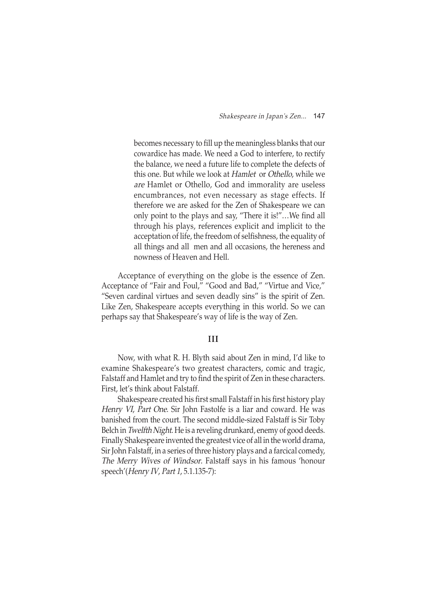becomes necessary to fill up the meaningless blanks that our cowardice has made. We need a God to interfere, to rectify the balance, we need a future life to complete the defects of this one. But while we look at Hamlet or Othello, while we are Hamlet or Othello, God and immorality are useless encumbrances, not even necessary as stage effects. If therefore we are asked for the Zen of Shakespeare we can only point to the plays and say, "There it is!"…We find all through his plays, references explicit and implicit to the acceptation of life, the freedom of selfishness, the equality of all things and all men and all occasions, the hereness and nowness of Heaven and Hell.

Acceptance of everything on the globe is the essence of Zen. Acceptance of "Fair and Foul," "Good and Bad," "Virtue and Vice," "Seven cardinal virtues and seven deadly sins" is the spirit of Zen. Like Zen, Shakespeare accepts everything in this world. So we can perhaps say that Shakespeare's way of life is the way of Zen.

### III

Now, with what R. H. Blyth said about Zen in mind, I'd like to examine Shakespeare's two greatest characters, comic and tragic, Falstaff and Hamlet and try to find the spirit of Zen in these characters. First, let's think about Falstaff.

Shakespeare created his first small Falstaff in his first history play Henry VI, Part One. Sir John Fastolfe is a liar and coward. He was banished from the court. The second middle-sized Falstaff is Sir Toby Belch in Twelfth Night. He is a reveling drunkard, enemy of good deeds. Finally Shakespeare invented the greatest vice of all in the world drama, Sir John Falstaff, in a series of three history plays and a farcical comedy, The Merry Wives of Windsor. Falstaff says in his famous 'honour speech'(Henry IV, Part 1, 5.1.135-7):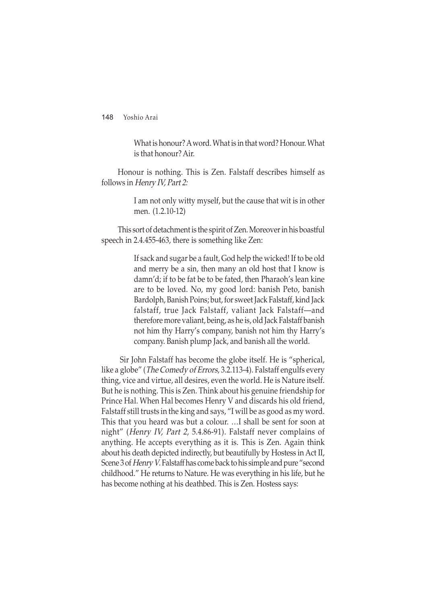What is honour? A word. What is in that word? Honour. What is that honour? Air.

Honour is nothing. This is Zen. Falstaff describes himself as follows in Henry IV, Part 2:

> I am not only witty myself, but the cause that wit is in other men. (1.2.10-12)

This sort of detachment is the spirit of Zen. Moreover in his boastful speech in 2.4.455-463, there is something like Zen:

> If sack and sugar be a fault, God help the wicked! If to be old and merry be a sin, then many an old host that I know is damn'd; if to be fat be to be fated, then Pharaoh's lean kine are to be loved. No, my good lord: banish Peto, banish Bardolph, Banish Poins; but, for sweet Jack Falstaff, kind Jack falstaff, true Jack Falstaff, valiant Jack Falstaff—and therefore more valiant, being, as he is, old Jack Falstaff banish not him thy Harry's company, banish not him thy Harry's company. Banish plump Jack, and banish all the world.

 Sir John Falstaff has become the globe itself. He is "spherical, like a globe" (*The Comedy of Errors*, 3.2.113-4). Falstaff engulfs every thing, vice and virtue, all desires, even the world. He is Nature itself. But he is nothing. This is Zen. Think about his genuine friendship for Prince Hal. When Hal becomes Henry V and discards his old friend, Falstaff still trusts in the king and says, "I will be as good as my word. This that you heard was but a colour. …I shall be sent for soon at night" (Henry IV, Part 2, 5.4.86-91). Falstaff never complains of anything. He accepts everything as it is. This is Zen. Again think about his death depicted indirectly, but beautifully by Hostess in Act II, Scene 3 of Henry V. Falstaff has come back to his simple and pure "second childhood." He returns to Nature. He was everything in his life, but he has become nothing at his deathbed. This is Zen. Hostess says: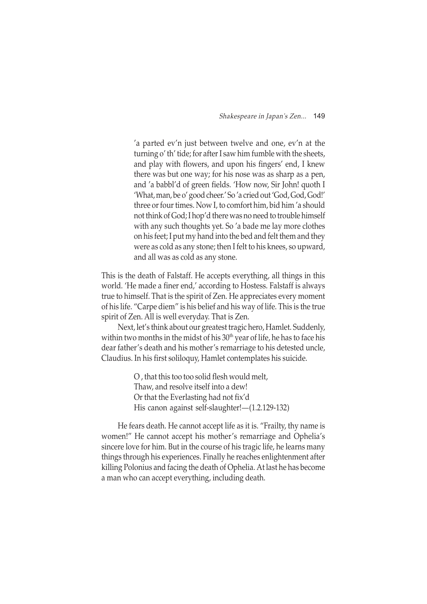'a parted ev'n just between twelve and one, ev'n at the turning o' th' tide; for after I saw him fumble with the sheets, and play with flowers, and upon his fingers' end, I knew there was but one way; for his nose was as sharp as a pen, and 'a babbl'd of green fields. 'How now, Sir John! quoth I 'What, man, be o' good cheer.' So 'a cried out 'God, God, God!' three or four times. Now I, to comfort him, bid him 'a should not think of God; I hop'd there was no need to trouble himself with any such thoughts yet. So 'a bade me lay more clothes on his feet; I put my hand into the bed and felt them and they were as cold as any stone; then I felt to his knees, so upward, and all was as cold as any stone.

This is the death of Falstaff. He accepts everything, all things in this world. 'He made a finer end,' according to Hostess. Falstaff is always true to himself. That is the spirit of Zen. He appreciates every moment of his life. "Carpe diem" is his belief and his way of life. This is the true spirit of Zen. All is well everyday. That is Zen.

Next, let's think about our greatest tragic hero, Hamlet. Suddenly, within two months in the midst of his  $30<sup>th</sup>$  year of life, he has to face his dear father's death and his mother's remarriage to his detested uncle, Claudius. In his first soliloquy, Hamlet contemplates his suicide.

> O , that this too too solid flesh would melt, Thaw, and resolve itself into a dew! Or that the Everlasting had not fix'd His canon against self-slaughter!—(1.2.129-132)

He fears death. He cannot accept life as it is. "Frailty, thy name is women!" He cannot accept his mother's remarriage and Ophelia's sincere love for him. But in the course of his tragic life, he learns many things through his experiences. Finally he reaches enlightenment after killing Polonius and facing the death of Ophelia. At last he has become a man who can accept everything, including death.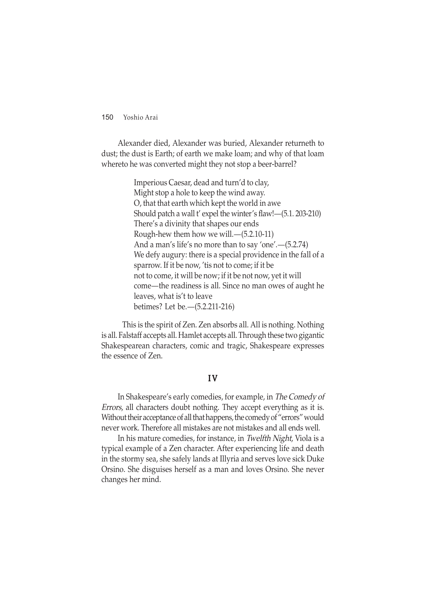Alexander died, Alexander was buried, Alexander returneth to dust; the dust is Earth; of earth we make loam; and why of that loam whereto he was converted might they not stop a beer-barrel?

> Imperious Caesar, dead and turn'd to clay, Might stop a hole to keep the wind away. O, that that earth which kept the world in awe Should patch a wall t' expel the winter's flaw!—(5.1. 203-210) There's a divinity that shapes our ends Rough-hew them how we will.—(5.2.10-11) And a man's life's no more than to say 'one'.—(5.2.74) We defy augury: there is a special providence in the fall of a sparrow. If it be now, 'tis not to come; if it be not to come, it will be now; if it be not now, yet it will come—the readiness is all. Since no man owes of aught he leaves, what is't to leave betimes? Let be.—(5.2.211-216)

 This is the spirit of Zen. Zen absorbs all. All is nothing. Nothing is all. Falstaff accepts all. Hamlet accepts all. Through these two gigantic Shakespearean characters, comic and tragic, Shakespeare expresses the essence of Zen.

## I V

In Shakespeare's early comedies, for example, in The Comedy of Errors, all characters doubt nothing. They accept everything as it is. Without their acceptance of all that happens, the comedy of "errors" would never work. Therefore all mistakes are not mistakes and all ends well.

In his mature comedies, for instance, in Twelfth Night, Viola is a typical example of a Zen character. After experiencing life and death in the stormy sea, she safely lands at Illyria and serves love sick Duke Orsino. She disguises herself as a man and loves Orsino. She never changes her mind.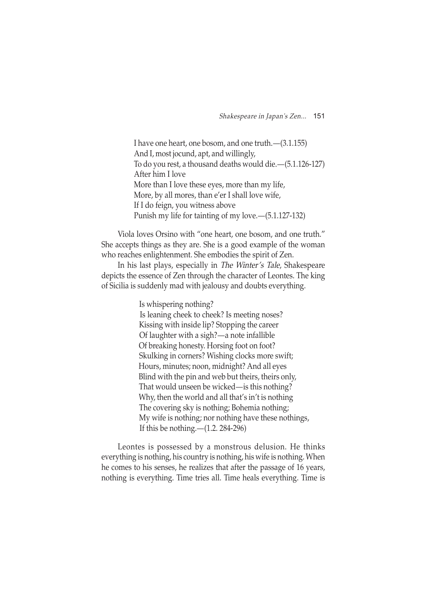I have one heart, one bosom, and one truth.—(3.1.155) And I, most jocund, apt, and willingly, To do you rest, a thousand deaths would die.—(5.1.126-127) After him I love More than I love these eyes, more than my life, More, by all mores, than e'er I shall love wife, If I do feign, you witness above Punish my life for tainting of my love.—(5.1.127-132)

Viola loves Orsino with "one heart, one bosom, and one truth." She accepts things as they are. She is a good example of the woman who reaches enlightenment. She embodies the spirit of Zen.

In his last plays, especially in The Winter's Tale, Shakespeare depicts the essence of Zen through the character of Leontes. The king of Sicilia is suddenly mad with jealousy and doubts everything.

Is whispering nothing?

 Is leaning cheek to cheek? Is meeting noses? Kissing with inside lip? Stopping the career Of laughter with a sigh?—a note infallible Of breaking honesty. Horsing foot on foot? Skulking in corners? Wishing clocks more swift; Hours, minutes; noon, midnight? And all eyes Blind with the pin and web but theirs, theirs only, That would unseen be wicked—is this nothing? Why, then the world and all that's in't is nothing The covering sky is nothing; Bohemia nothing; My wife is nothing; nor nothing have these nothings, If this be nothing.—(1.2. 284-296)

Leontes is possessed by a monstrous delusion. He thinks everything is nothing, his country is nothing, his wife is nothing. When he comes to his senses, he realizes that after the passage of 16 years, nothing is everything. Time tries all. Time heals everything. Time is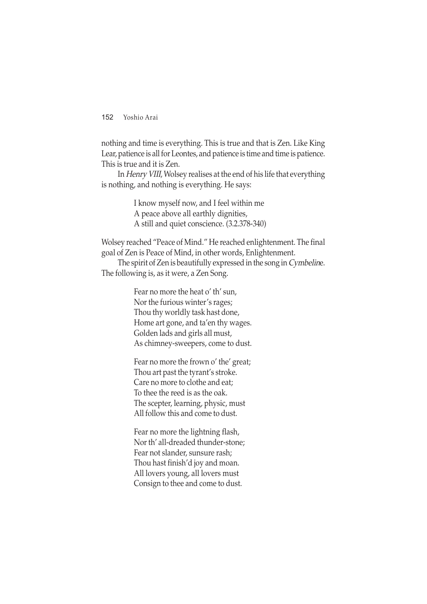nothing and time is everything. This is true and that is Zen. Like King Lear, patience is all for Leontes, and patience is time and time is patience. This is true and it is Zen.

In Henry VIII, Wolsey realises at the end of his life that everything is nothing, and nothing is everything. He says:

> I know myself now, and I feel within me A peace above all earthly dignities, A still and quiet conscience. (3.2.378-340)

Wolsey reached "Peace of Mind." He reached enlightenment. The final goal of Zen is Peace of Mind, in other words, Enlightenment.

The spirit of Zen is beautifully expressed in the song in Cymbeline. The following is, as it were, a Zen Song.

> Fear no more the heat o' th' sun, Nor the furious winter's rages; Thou thy worldly task hast done, Home art gone, and ta'en thy wages. Golden lads and girls all must, As chimney-sweepers, come to dust.

Fear no more the frown o' the' great; Thou art past the tyrant's stroke. Care no more to clothe and eat; To thee the reed is as the oak. The scepter, learning, physic, must All follow this and come to dust.

Fear no more the lightning flash, Nor th' all-dreaded thunder-stone; Fear not slander, sunsure rash; Thou hast finish'd joy and moan. All lovers young, all lovers must Consign to thee and come to dust.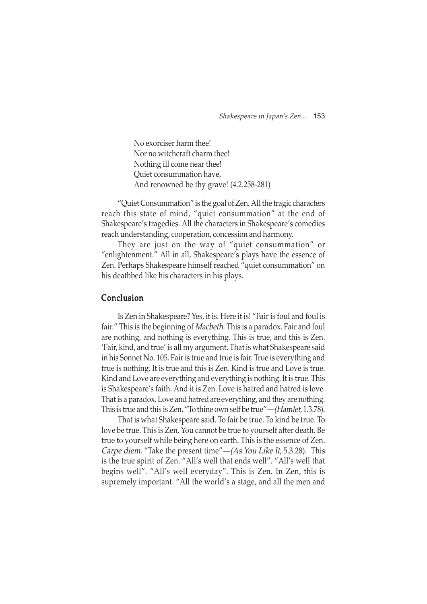No exorciser harm thee! Nor no witchcraft charm thee! Nothing ill come near thee! Quiet consummation have, And renowned be thy grave! (4.2.258-281)

"Quiet Consummation" is the goal of Zen. All the tragic characters reach this state of mind, "quiet consummation" at the end of Shakespeare's tragedies. All the characters in Shakespeare's comedies reach understanding, cooperation, concession and harmony.

They are just on the way of "quiet consummation" or "enlightenment." All in all, Shakespeare's plays have the essence of Zen. Perhaps Shakespeare himself reached "quiet consummation" on his deathbed like his characters in his plays.

## Conclusion

Is Zen in Shakespeare? Yes, it is. Here it is! "Fair is foul and foul is fair." This is the beginning of Macbeth. This is a paradox. Fair and foul are nothing, and nothing is everything. This is true, and this is Zen. 'Fair, kind, and true' is all my argument. That is what Shakespeare said in his Sonnet No. 105. Fair is true and true is fair. True is everything and true is nothing. It is true and this is Zen. Kind is true and Love is true. Kind and Love are everything and everything is nothing. It is true. This is Shakespeare's faith. And it is Zen. Love is hatred and hatred is love. That is a paradox. Love and hatred are everything, and they are nothing. This is true and this is Zen. "To thine own self be true"—(Hamlet, 1.3.78).

That is what Shakespeare said. To fair be true. To kind be true. To love be true. This is Zen. You cannot be true to yourself after death. Be true to yourself while being here on earth. This is the essence of Zen. *Carpe diem.* "Take the present time" $-(As You Like It, 5.3.28)$ . This is the true spirit of Zen. "All's well that ends well". "All's well that begins well". "All's well everyday". This is Zen. In Zen, this is supremely important. "All the world's a stage, and all the men and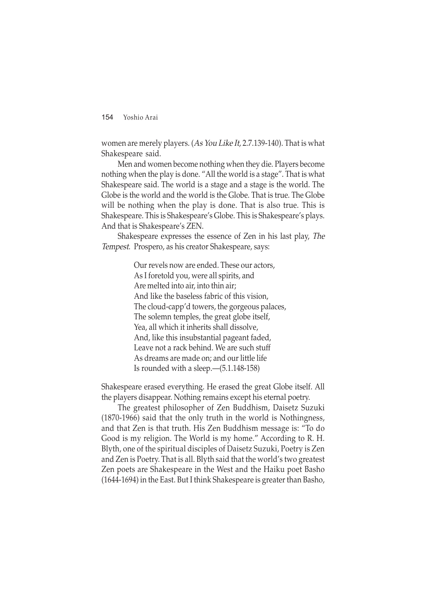women are merely players. (As You Like It, 2.7.139-140). That is what Shakespeare said.

Men and women become nothing when they die. Players become nothing when the play is done. "All the world is a stage". That is what Shakespeare said. The world is a stage and a stage is the world. The Globe is the world and the world is the Globe. That is true. The Globe will be nothing when the play is done. That is also true. This is Shakespeare. This is Shakespeare's Globe. This is Shakespeare's plays. And that is Shakespeare's ZEN.

Shakespeare expresses the essence of Zen in his last play, The Tempest. Prospero, as his creator Shakespeare, says:

> Our revels now are ended. These our actors, As I foretold you, were all spirits, and Are melted into air, into thin air; And like the baseless fabric of this vision, The cloud-capp'd towers, the gorgeous palaces, The solemn temples, the great globe itself, Yea, all which it inherits shall dissolve, And, like this insubstantial pageant faded, Leave not a rack behind. We are such stuff As dreams are made on; and our little life Is rounded with a sleep.—(5.1.148-158)

Shakespeare erased everything. He erased the great Globe itself. All the players disappear. Nothing remains except his eternal poetry.

The greatest philosopher of Zen Buddhism, Daisetz Suzuki (1870-1966) said that the only truth in the world is Nothingness, and that Zen is that truth. His Zen Buddhism message is: "To do Good is my religion. The World is my home." According to R. H. Blyth, one of the spiritual disciples of Daisetz Suzuki, Poetry is Zen and Zen is Poetry. That is all. Blyth said that the world's two greatest Zen poets are Shakespeare in the West and the Haiku poet Basho (1644-1694) in the East. But I think Shakespeare is greater than Basho,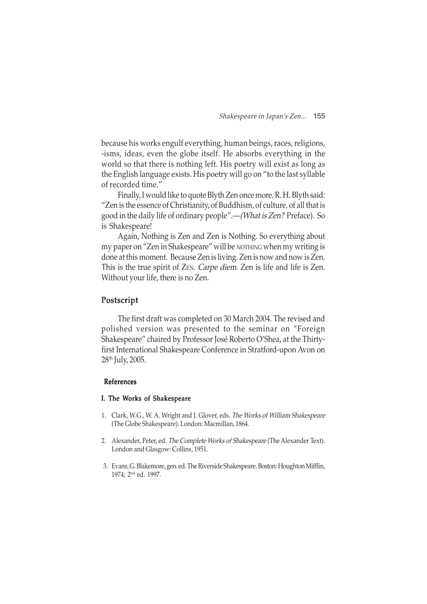because his works engulf everything, human beings, races, religions, -isms, ideas, even the globe itself. He absorbs everything in the world so that there is nothing left. His poetry will exist as long as the English language exists. His poetry will go on "to the last syllable of recorded time."

Finally, I would like to quote Blyth Zen once more. R. H. Blyth said: "Zen is the essence of Christianity, of Buddhism, of culture, of all that is good in the daily life of ordinary people".—(What is Zen? Preface). So is Shakespeare!

Again, Nothing is Zen and Zen is Nothing. So everything about my paper on "Zen in Shakespeare" will be NOTHING when my writing is done at this moment. Because Zen is living. Zen is now and now is Zen. This is the true spirit of ZEN. Carpe diem. Zen is life and life is Zen. Without your life, there is no Zen.

## Postscript Postscript

The first draft was completed on 30 March 2004. The revised and polished version was presented to the seminar on "Foreign Shakespeare" chaired by Professor José Roberto O'Shea, at the Thirtyfirst International Shakespeare Conference in Stratford-upon Avon on 28th July, 2005.

#### References

#### I. The Works of Shakespeare

- 1. Clark, W.G., W. A. Wright and J. Glover, eds. The Works of William Shakespeare (The Globe Shakespeare). London: Macmillan, 1864.
- 2. Alexander, Peter, ed. The Complete Works of Shakespeare (The Alexander Text). London and Glasgow: Collins, 1951.
- 3. Evans, G. Blakemore, gen. ed. The Riverside Shakespeare. Boston: Houghton Mifflin, 1974; 2nd ed. 1997.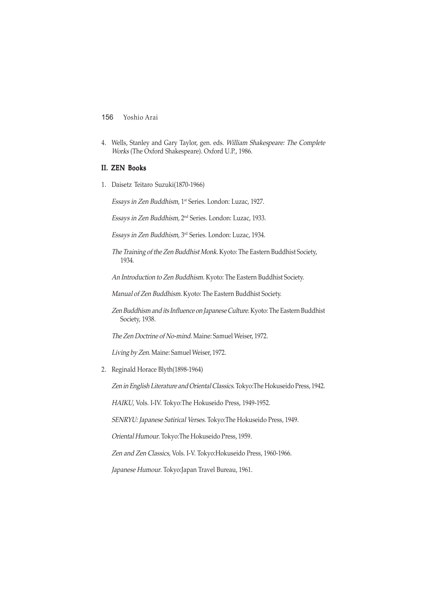4. Wells, Stanley and Gary Taylor, gen. eds. William Shakespeare: The Complete Works (The Oxford Shakespeare). Oxford U.P., 1986.

## II. ZEN Books

1. Daisetz Teitaro Suzuki(1870-1966)

Essays in Zen Buddhism, 1st Series. London: Luzac, 1927.

Essays in Zen Buddhism, 2nd Series. London: Luzac, 1933.

Essays in Zen Buddhism, 3rd Series. London: Luzac, 1934.

The Training of the Zen Buddhist Monk. Kyoto: The Eastern Buddhist Society, 1934.

An Introduction to Zen Buddhism. Kyoto: The Eastern Buddhist Society.

Manual of Zen Buddhism. Kyoto: The Eastern Buddhist Society.

Zen Buddhism and its Influence on Japanese Culture. Kyoto: The Eastern Buddhist Society, 1938.

The Zen Doctrine of No-mind. Maine: Samuel Weiser, 1972.

Living by Zen. Maine: Samuel Weiser, 1972.

2. Reginald Horace Blyth(1898-1964)

Zen in English Literature and Oriental Classics. Tokyo:The Hokuseido Press, 1942.

HAIKU, Vols. I-IV. Tokyo:The Hokuseido Press, 1949-1952.

SENRYU: Japanese Satirical Verses. Tokyo:The Hokuseido Press, 1949.

Oriental Humour. Tokyo:The Hokuseido Press, 1959.

Zen and Zen Classics, Vols. I-V. Tokyo:Hokuseido Press, 1960-1966.

Japanese Humour. Tokyo:Japan Travel Bureau, 1961.